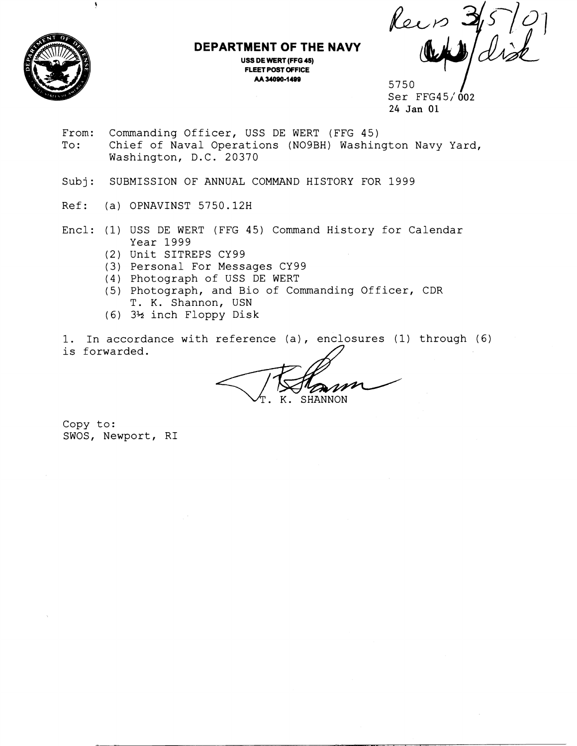

Ą

## **DEPARTMENT OF THE NAVY**

**USS DE WERT (FFG 45) FLEET POST OFFICE** 

**AA 34090-1 499** 5750 1 Ser FFG45/' **002**  24 Jan 01

- From: Commanding Officer, USS DE WERT (FFG 45)<br>To: Chief of Naval Operations (NO9BH) Washin Chief of Naval Operations (NO9BH) Washington Navy Yard, Washington, D.C. 20370
- Subj: SUBMISSION OF ANNUAL COMMAND HISTORY FOR 1999
- Ref: (a) OPNAVINST 5750.12H
- Encl: (1) USS DE WERT (FFG 45) Command History for Calendar Year 1999
	- (2) Unit SITREPS CY99
	- (3) Personal For Messages CY99
	- (4) Photograph of USS DE WERT
	- (5) Photograph, and Bio of Commanding Officer, CDR T. K. Shannon, USN
	- (6) 3% inch Floppy Disk

1. In accordance with reference (a), enclosures (1) through (6) is forwarded.

**SHANNON** Κ.

Copy to: SWOS, Newport, RI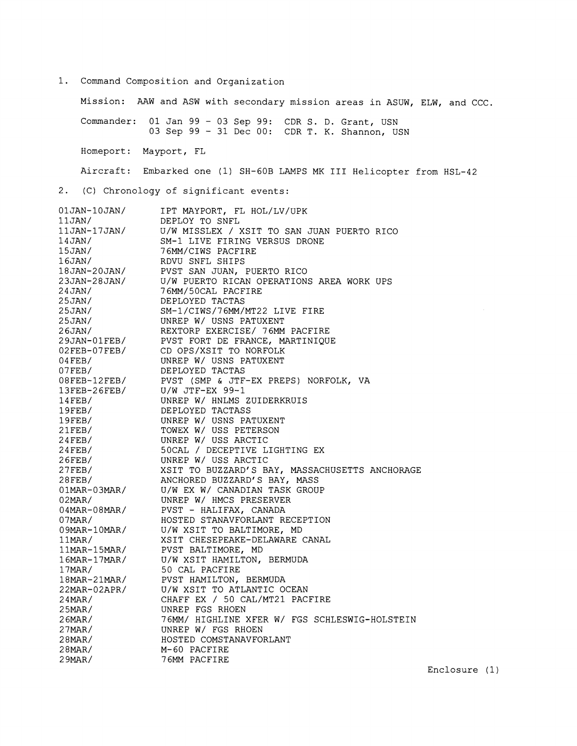1. Command Composition and Organization

Mission: AAW and ASW with secondary mission areas in ASUW, ELW, and CCC. Commander: 01 Jan 99 - 03 Sep 99: CDR S. D. Grant, USN 03 Sep 99 - 31 Dec 00: CDR T. K. Shannon, USN Homeport: Mayport, FL Aircraft: Embarked one (1) SH-GOB LAMPS MK I11 Helicopter from HSL-42 2. (C) Chronology of significant events: 01JAN-10JAN/ IPT MAYPORT, FL HOL/LV/UPK  $11JAN/$ DEPLOY TO SNFL U/W MISSLEX / XSIT TO SAN JUAN PUERTO RICO SM-1 LIVE FIRING VERSUS DRONE 76MM/CIWS PACFIRE RDVU SNFL SHIPS PVST SAN JUAN, PUERTO RICO U/W PUERTO RICAN OPERATIONS AREA WORK UPS 76MM/50CAL PACFIRE DEPLOYED TACTAS SM-1/CIWS/76MM/MT22 LIVE FIRE UNREP W/ USNS PATUXENT REXTORP EXERCISE/ 76MM PACFIRE PVST FORT DE FRANCE, MARTINIQUE CD OPS/XSIT TO NORFOLK UNREP W/ USNS PATUXENT DEPLOYED TACTAS PVST (SMP & JTF-EX PREPS) NORFOLK, VA U/W JTF-EX 99-1 UNREP W/ HNLMS ZUIDERKRUIS DEPLOYED TACTASS UNREP W/ USNS PATUXENT TOWEX W/ USS PETERSON UNREP W/ USS ARCTIC 50CAL / DECEPTIVE LIGHTING EX UNREP W/ USS ARCTIC XSIT TO BUZZARD'S BAY, MASSACHUSETTS ANCHORAGE ANCHORED BUZZARD'S BAY, MASS U/W EX W/ CANADIAN TASK GROUP UNREP W/ HMCS PRESERVER<br>PVST - HALIFAX, CANADA HOSTED STANAVFORLANT RECEPTION U/W XSIT TO BALTIMORE, MD XSIT CHESEPEAKE-DELAWARE CANAL PVST BALTIMORE, MD U/W XSIT HAMILTON, BERMUDA 50 CAL PACFIRE JO CHA INSTINE<br>PVST HAMILTON, BERMUDA<br>U/W XSIT TO ATLANTIC OCEAN<br>CHAFF EX / 50 CAL/MT21 PACFIRE 18MAR-21MAR/ PVST HAMILTON, BERMUDA U/W XSIT TO ATLANTIC OCEAN 22MAR-02APR/

76MM/ HIGHLINE XFER W/ FGS SCHLESWIG-HOLSTEIN

UNREP FGS RHOEN

M-60 PACFIRE 76MM PACFIRE

 $24$ MAR/  $25$ MAR/ 26MAR/ 27MAR/ 28MAR/ 28MAR/  $29$ MAR/

UNREP W/ FGS RHOEN HOSTED COMSTANAVFORLANT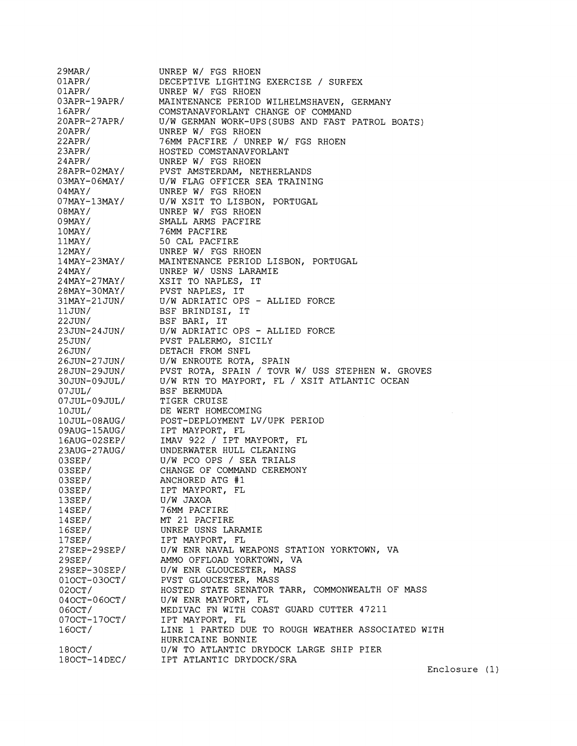2 9MAR/ UNREP W/ FGS RHOEN 0 1APR/ DECEPTIVE LIGHTING EXERCISE / SUREEX 0 1APR/ UNREP W/ FGS RHOEN 03APR-19APR/ MAINTENANCE PERIOD WILHELMSHAVEN, GERMANY 16APR/ COMSTANAVFORLANT CHANGE OF COMMAND 20APR-27APR/ U/W GERMAN WORK-UPS(SUBS AND FAST PATROL BOATS) 20APR/ UNREP W/ FGS RHOEN 22APR/ 76MM PACFIRE / UNREP W/ FGS RHOEN 23APR/ HOSTED COMSTANAVFORLANT 24APR/ UNREP W/ FGS RHOEN 28APR-02MAY/ PVST AMSTERDAM, NETHERLANDS 03MAY-06MAY/ U/W FLAG OFFICER SEA TRAINING 04MAY/ UNREP W/ FGS RHOEN 07MAY-13MAY/ U/W XSIT TO LISBON, PORTUGAL 08MAY/ UNREP W/ FGS RHOEN 0 9MAY / SMALL ARMS PACFIRE 76MM PACFIRE 1 OMAY / 11MAY/ 50 CAL PACFIRE UNREP W/ FGS RHOEN 12MAY/ 14MAY-23MAY/ MAINTENANCE PERIOD LISBON, PORTUGAL 24MAY/ UNREP W/ USNS LARAMIE 24MAY-27MAY/ XSIT TO NAPLES, IT 28MAY-3OMAY/ PVST NAPLES, IT 31MAY-21JUN/ U/W ADRIATIC OPS - ALLIED FORCE BSF BRINDISI, IT 11JUN/ BSF BARI, IT 22JUN/ 23JUN-24JUN/ U/W ADRIATIC OPS - ALLIED FORCE PVST PALERMO, SICILY 25JUN/ 26JUN/ DETACH FROM SNFL U/W ENROUTE ROTA, SPAIN 26JUN-27JUN/ PVST ROTA, SPAIN / TOVR W/ USS STEPHEN W. GROVES 28JUN-29JUN/ U/W RTN TO MAYPORT, EL / XSIT ATLANTIC OCEAN 30JUN-09JUL/ 07 JUL/ BSF BERMUDA  $07JUL-09JUL/$ TIGER CRUISE DE WERT HOMECOMING 10 JUL/ 10JUL-08AUG/ POST-DEPLOYMENT LV/UPK PERIOD IPT MAYPORT, EL 09AUG-15AUG/ IMAV 922 / IPT MAYPORT, FL 16AUG-02SEP/ UNDERWATER HULL CLEANING  $23AUG-27AUG/$ 03SEP/ U/W PC0 OPS / SEA TRIALS CHANGE OF COMMAND CEREMONY 03SEP/ 03SEP/ ANCHORED ATG #1 03SEP/ IPT MAYPORT, FL U/W JAXOA 13SEP/ 14SEP/ 76MM PACFIRE MT 21 PACFIRE 14SEP/ 16SEP/ UNREP USNS LARAMIE 17SEP/ IPT MAYPORT, FL 27SEP-29SEP/ U/W ENR NAVAL WEAPONS STATION YORKTOWN, VA 29SEP/ AMMO OFFLOAD YORKTOWN, VA 29SEP-30SEP/ U/W ENR GLOUCESTER, MASS  $010CT-030CT/$ PVST GLOUCESTER, MASS 020CT/ HOSTED STATE SENATOR TARR, COMMONWEALTH OF MASS  $040$  $CT-060$  $CT/$ U/W ENR MAYPORT, FL MEDIVAC EN WITH COAST GUARD CUTTER 47211 060CT/ 070CT-170CT/ IPT MAYPORT, FL 160CT / LINE 1 PARTED DUE TO ROUGH WEATHER ASSOCIATED WITH HURRICAINE BONNIE  $180CT/$ U/W TO ATLANTIC DRYDOCK LARGE SHIP PIER  $180CT-14DEC/$ IPT ATLANTIC DRYDOCK/SRA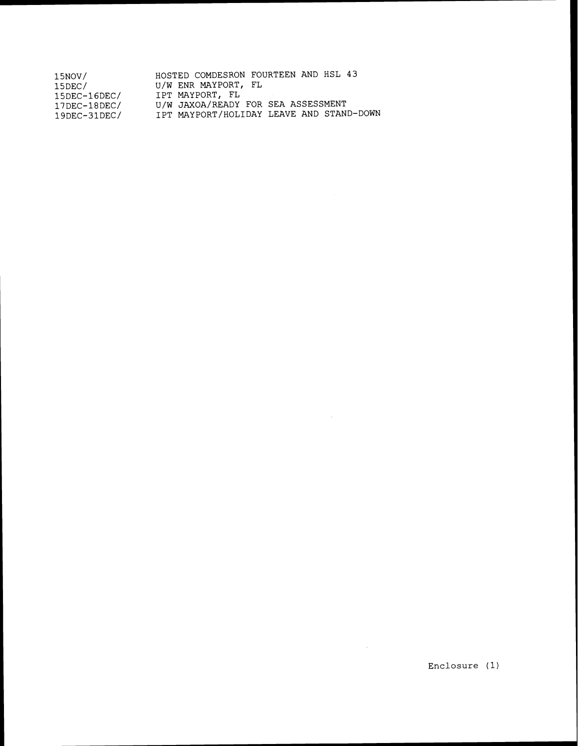| 15NOV/              | HOSTED COMDESRON FOURTEEN AND HSL 43     |
|---------------------|------------------------------------------|
| 15DEC/              | U/W ENR MAYPORT, FL                      |
| $15$ DEC- $16$ DEC/ | IPT MAYPORT, FL                          |
| $17$ DEC-18DEC/     | U/W JAXOA/READY FOR SEA ASSESSMENT       |
| $19$ DEC-31DEC/     | IPT MAYPORT/HOLIDAY LEAVE AND STAND-DOWN |

 $\hat{\mathcal{A}}$ 

 $\sim$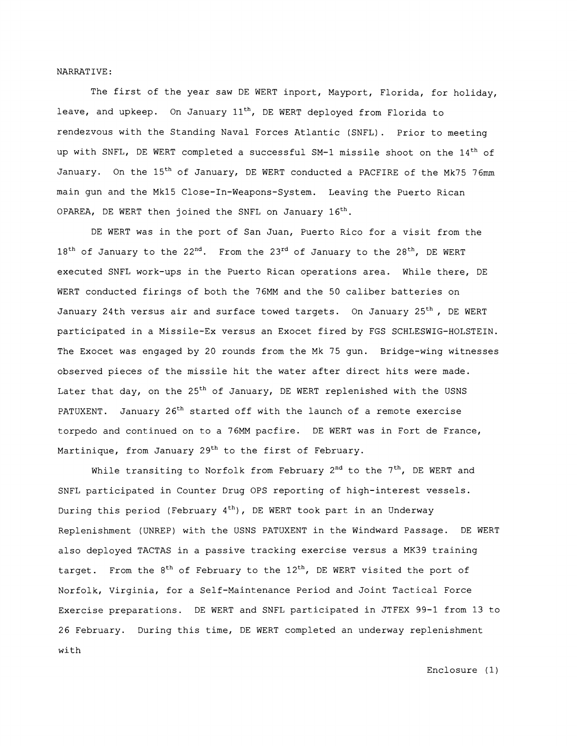NARRAT IVE :

The first of the year saw DE WERT inport, Mayport, Florida, for holiday, leave, and upkeep. On January  $11<sup>th</sup>$ , DE WERT deployed from Florida to rendezvous with the Standing Naval Forces Atlantic (SNFL). Prior to meeting up with SNFL, DE WERT completed a successful SM-1 missile shoot on the 14<sup>th</sup> of January. On the 15<sup>th</sup> of January, DE WERT conducted a PACFIRE of the Mk75 76mm main gun and the Mk15 Close-In-Weapons-System. Leaving the Puerto Rican OPAREA, DE WERT then joined the SNFL on January 16<sup>th</sup>.

DE WERT was in the port of San Juan, Puerto Rico for a visit from the  $18<sup>th</sup>$  of January to the 22<sup>nd</sup>. From the 23<sup>rd</sup> of January to the 28<sup>th</sup>, DE WERT executed SNFL work-ups in the Puerto Rican operations area. While there, DE WERT conducted firings of both the 76MM and the 50 caliber batteries on January 24th versus air and surface towed targets. On January 25<sup>th</sup>, DE WERT participated in a Missile-Ex versus an Exocet fired by FGS SCHLESWIG-HOLSTEIN. The Exocet was engaged by 20 rounds from the Mk 75 gun. Bridge-wing witnesses observed pieces of the missile hit the water after direct hits were made. Later that day, on the 25<sup>th</sup> of January, DE WERT replenished with the USNS PATUXENT. January 26<sup>th</sup> started off with the launch of a remote exercise torpedo and continued on to a 76MM pacfire. DE WERT was in Fort de France, Martinique, from January 29<sup>th</sup> to the first of February.

While transiting to Norfolk from February  $2^{nd}$  to the  $7^{th}$ , DE WERT and SNFL participated in Counter Drug OPS reporting of high-interest vessels. During this period (February  $4<sup>th</sup>$ ), DE WERT took part in an Underway Replenishment (UNREP) with the USNS PATUXENT in the Windward Passage. DE WERT also deployed TACTAS in a passive tracking exercise versus a MK39 training target. From the 8<sup>th</sup> of February to the 12<sup>th</sup>, DE WERT visited the port of Norfolk, Virginia, for a Self-Maintenance Period and Joint Tactical Force Exercise preparations. DE WERT and SNFL participated in JTFEX 99-1 from 13 to 26 February. During this time, DE WERT completed an underway replenishment with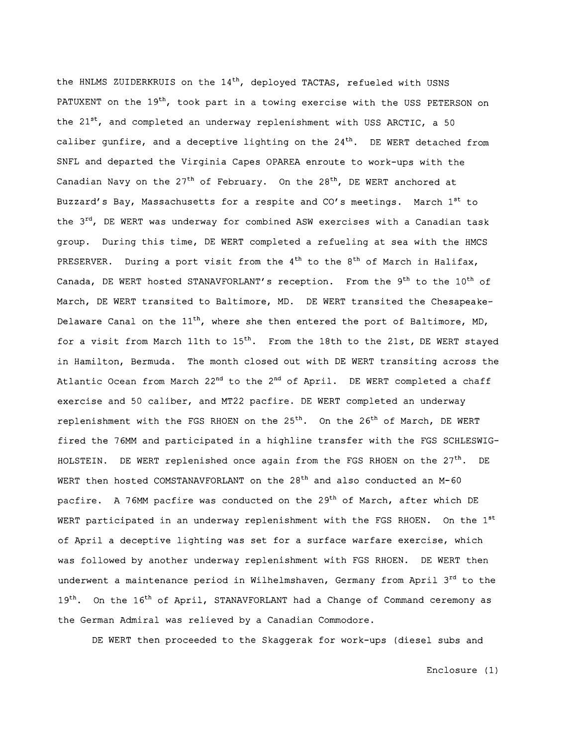the HNLMS ZUIDERKRUIS on the  $14<sup>th</sup>$ , deployed TACTAS, refueled with USNS PATUXENT on the  $19<sup>th</sup>$ , took part in a towing exercise with the USS PETERSON on the  $21^{st}$ , and completed an underway replenishment with USS ARCTIC, a 50 caliber gunfire, and a deceptive lighting on the  $24<sup>th</sup>$ . DE WERT detached from SNFL and departed the Virginia Capes OPAREA enroute to work-ups with the Canadian Navy on the  $27<sup>th</sup>$  of February. On the  $28<sup>th</sup>$ , DE WERT anchored at Buzzard's Bay, Massachusetts for a respite and CO's meetings. March 1<sup>st</sup> to the 3rd, DE WERT was underway for combined ASW exercises with a Canadian task group. During this time, DE WERT completed a refueling at sea with the HMCS PRESERVER. During a port visit from the  $4<sup>th</sup>$  to the  $8<sup>th</sup>$  of March in Halifax, Canada, DE WERT hosted STANAVFORLANT's reception. From the  $9<sup>th</sup>$  to the  $10<sup>th</sup>$  of March, DE WERT transited to Baltimore, MD. DE WERT transited the Chesapeake-Delaware Canal on the  $11^{th}$ , where she then entered the port of Baltimore, MD, for a visit from March 11th to  $15<sup>th</sup>$ . From the 18th to the 21st, DE WERT stayed in Hamilton, Bermuda. The month closed out with DE WERT transiting across the Atlantic Ocean from March 22<sup>nd</sup> to the 2<sup>nd</sup> of April. DE WERT completed a chaff exercise and 50 caliber, and MT22 pacfire. DE WERT completed an underway replenishment with the FGS RHOEN on the 25<sup>th</sup>. On the 26<sup>th</sup> of March, DE WERT fired the 76MM and participated in a highline transfer with the FGS SCHLESWIG-HOLSTEIN. DE WERT replenished once again from the FGS RHOEN on the  $27<sup>th</sup>$ . DE WERT then hosted COMSTANAVFORLANT on the 28<sup>th</sup> and also conducted an M-60 pacfire. A 76MM pacfire was conducted on the 29<sup>th</sup> of March, after which DE WERT participated in an underway replenishment with the FGS RHOEN. On the 1st of April a deceptive lighting was set for a surface warfare exercise, which was followed by another underway replenishment with FGS RHOEN. DE WERT then underwent a maintenance period in Wilhelmshaven, Germany from April 3<sup>rd</sup> to the 19<sup>th</sup>. On the 16<sup>th</sup> of April, STANAVFORLANT had a Change of Command ceremony as the German Admiral was relieved by a Canadian Commodore.

DE WERT then proceeded to the Skaggerak for work-ups (diesel subs and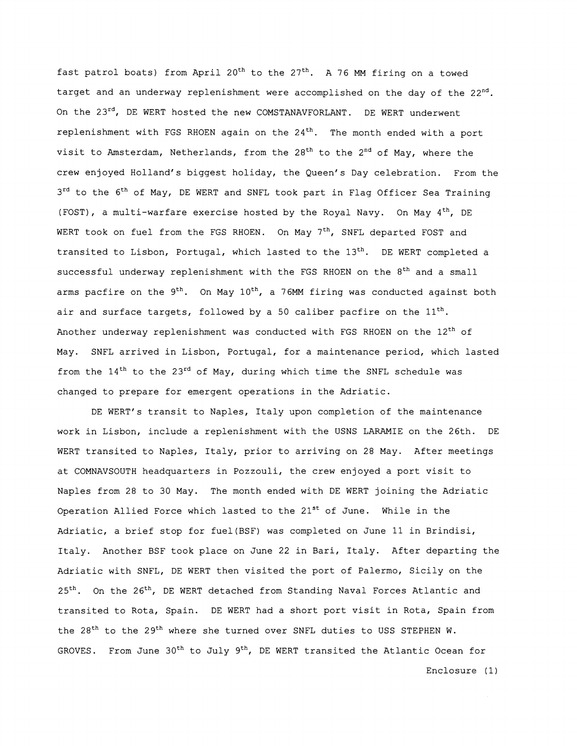fast patrol boats) from April  $20^{th}$  to the  $27^{th}$ . A 76 MM firing on a towed target and an underway replenishment were accomplished on the day of the  $22<sup>nd</sup>$ . On the 23<sup>rd</sup>, DE WERT hosted the new COMSTANAVFORLANT. DE WERT underwent replenishment with FGS RHOEN again on the  $24<sup>th</sup>$ . The month ended with a port visit to Amsterdam, Netherlands, from the  $28<sup>th</sup>$  to the  $2<sup>nd</sup>$  of May, where the crew enjoyed Holland's biggest holiday, the Queen's Day celebration. From the 3<sup>rd</sup> to the 6<sup>th</sup> of May, DE WERT and SNFL took part in Flag Officer Sea Training (FOST), a multi-warfare exercise hosted by the Royal Navy. On May 4<sup>th</sup>, DE WERT took on fuel from the FGS RHOEN. On May 7<sup>th</sup>, SNFL departed FOST and transited to Lisbon, Portugal, which lasted to the 13<sup>th</sup>. DE WERT completed a successful underway replenishment with the FGS RHOEN on the 8<sup>th</sup> and a small arms pacfire on the  $9^{th}$ . On May  $10^{th}$ , a 76MM firing was conducted against both air and surface targets, followed by a 50 caliber pacfire on the  $11<sup>th</sup>$ . Another underway replenishment was conducted with FGS RHOEN on the 12<sup>th</sup> of May. SNFL arrived in Lisbon, Portugal, for a maintenance period, which lasted from the  $14<sup>th</sup>$  to the 23<sup>rd</sup> of May, during which time the SNFL schedule was changed to prepare for emergent operations in the Adriatic.

DE WERT's transit to Naples, Italy upon completion of the maintenance work in Lisbon, include a replenishment with the USNS LARAMIE on the 26th. DE WERT transited to Naples, Italy, prior to arriving on 28 May. After meetings at COMNAVSOUTH headquarters in Pozzouli, the crew enjoyed a port visit to Naples from 28 to 30 May. The month ended with DE WERT joining the Adriatic Operation Allied Force which lasted to the  $21^{st}$  of June. While in the Adriatic, a brief stop for fuel(BSF) was completed on June 11 in Brindisi, Italy. Another BSF took place on June 22 in Bari, Italy. After departing the Adriatic with SNFL, DE WERT then visited the port of Palermo, Sicily on the 25<sup>th</sup>. On the 26<sup>th</sup>, DE WERT detached from Standing Naval Forces Atlantic and transited to Rota, Spain. DE WERT had a short port visit in Rota, Spain from the 28<sup>th</sup> to the 29<sup>th</sup> where she turned over SNFL duties to USS STEPHEN W. GROVES. From June  $30^{th}$  to July  $9^{th}$ , DE WERT transited the Atlantic Ocean for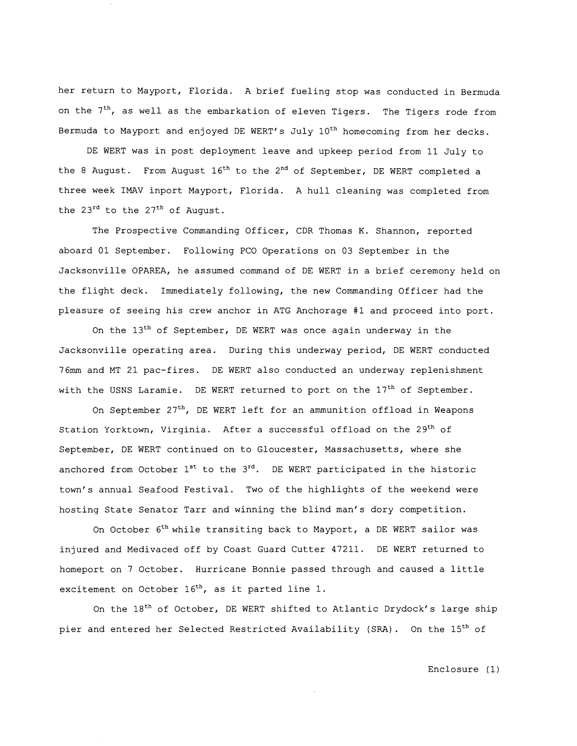her return to Mayport, Florida. A brief fueling stop was conducted in Bermuda on the  $7<sup>th</sup>$ , as well as the embarkation of eleven Tigers. The Tigers rode from Bermuda to Mayport and enjoyed DE WERT's July 10<sup>th</sup> homecoming from her decks.

DE WERT was in post deployment leave and upkeep period from 11 July to the 8 August. From August  $16<sup>th</sup>$  to the 2<sup>nd</sup> of September, DE WERT completed a three week IMAV inport Mayport, Florida. A hull cleaning was completed from the  $23^{rd}$  to the  $27^{th}$  of August.

The Prospective Commanding Officer, CDR Thomas K. Shannon, reported aboard 01 September. Following PC0 Operations on 03 September in the Jacksonville OPAREA, he assumed command of DE WERT in a brief ceremony held on the flight deck. Immediately following, the new Commanding Officer had the pleasure of seeing his crew anchor in ATG Anchorage #1 and proceed into port.

On the  $13<sup>th</sup>$  of September, DE WERT was once again underway in the Jacksonville operating area. During this underway period, DE WERT conducted 76mm and MT 21 pac-fires. DE WERT also conducted an underway replenishment with the USNS Laramie. DE WERT returned to port on the 17<sup>th</sup> of September.

On September  $27^{th}$ , DE WERT left for an ammunition offload in Weapons Station Yorktown, Virginia. After a successful offload on the 29<sup>th</sup> of September, DE WERT continued on to Gloucester, Massachusetts, where she anchored from October  $1^{st}$  to the  $3^{rd}$ . DE WERT participated in the historic town's annual Seafood Festival. Two of the highlights of the weekend were hosting State Senator Tarr and winning the blind man's dory competition.

On October 6<sup>th</sup> while transiting back to Mayport, a DE WERT sailor was injured and Medivaced off by Coast Guard Cutter 47211. DE WERT returned to homeport on 7 October. Hurricane Bonnie passed through and caused a little excitement on October 16<sup>th</sup>, as it parted line 1.

On the 18<sup>th</sup> of October, DE WERT shifted to Atlantic Drydock's large ship pier and entered her Selected Restricted Availability (SRA). On the 15<sup>th</sup> of